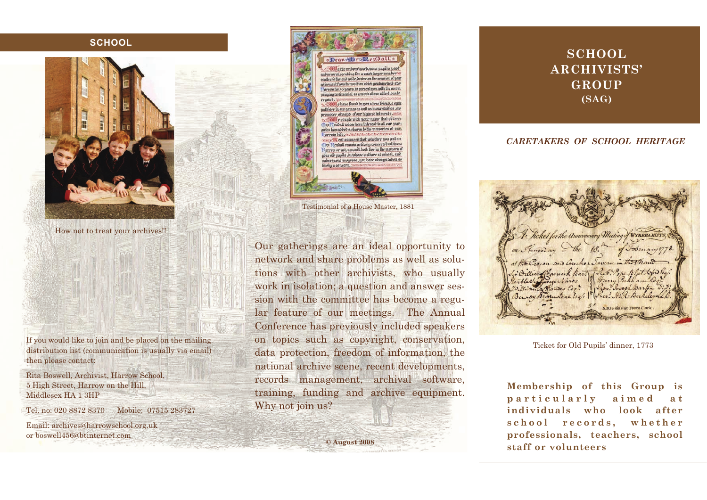## **SCHOOL**



How not to treat your archives!!

If you would like to join and be placed on the mailing distribution list (communication is usually via email) then please contact:

Rita Boswell, Archivist, Harrow School, 5 High Street, Harrow on the Hill, Middlesex HA 1 3HP

Tel. no: 020 8872 8370 Mobile: 07515 283727

Email: archives@harrowschool.org.uk or boswell456@btinternet.com



Testimonial of a House Master, 1881

Our gatherings are an ideal opportunity to network and share problems as well as solutions with other archivists, who usually work in isolation; a question and answer session with the committee has become a regular feature of our meetings. The Annual Conference has previously included speakers on topics such as copyright, conservation, data protection, freedom of information, the national archive scene, recent developments, records management, archival software, training, funding and archive equipment. Why not join us?

**© August 2008** 

## **SCHOOL ARCHIVISTS' GROUP (SAG)**

## *CARETAKERS OF SCHOOL HERITAGE*

Kicket for the Anniversary Meeting of WYKEHAMIST on hursday the at the Crown and anchore Lancon in billier thannock Bar Jolob. ible Vifficere Navor 3 Harry Co Dillian Monder Co. Bernoy Britantone Esq. Chev. H.R. Berkeleyadh **N B** to dine at Four o Clock

Ticket for Old Pupils' dinner, 1773

**Membership of this Group is**  particularly aimed at **individuals who look after** school records, whether **professionals, teachers, school staff or volunteers**